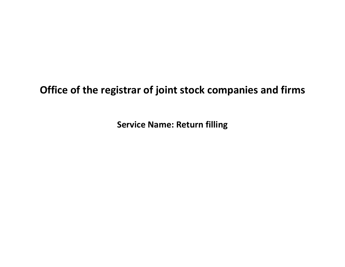# **Office of the registrar of joint stock companies and firms**

**Service Name: Return filling**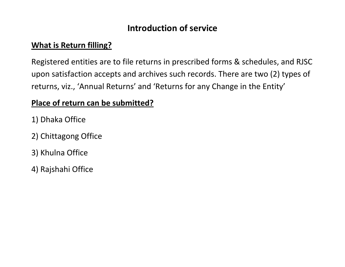# **Introduction of service**

### **What is Return filling?**

Registered entities are to file returns in prescribed forms & schedules, and RJSC upon satisfaction accepts and archives such records. There are two (2) types of returns, viz., 'Annual Returns' and 'Returns for any Change in the Entity'

### **Place of return can be submitted?**

- 1) Dhaka Office
- 2) Chittagong Office
- 3) Khulna Office
- 4) Rajshahi Office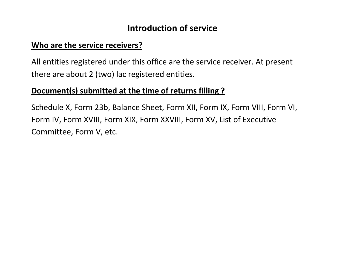## **Introduction of service**

#### **Who are the service receivers?**

All entities registered under this office are the service receiver. At present there are about 2 (two) lac registered entities.

### **Document(s) submitted at the time of returns filling ?**

Schedule X, Form 23b, Balance Sheet, Form XII, Form IX, Form VIII, Form VI, Form IV, Form XVIII, Form XIX, Form XXVIII, Form XV, List of Executive Committee, Form V, etc.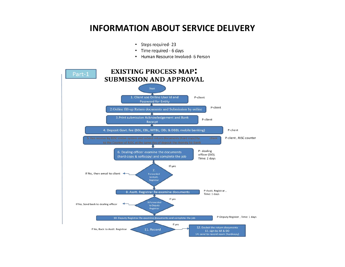### **INFORMATION ABOUT SERVICE DELIVERY**

- Steps required-23
- Time required 6 days
- Human Resource Involved- 6 Person

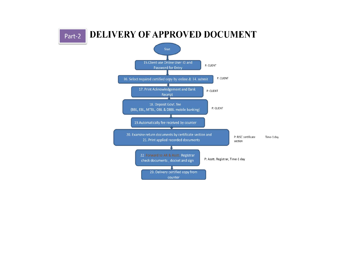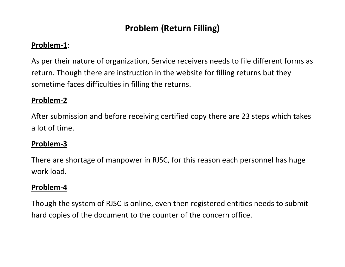# **Problem (Return Filling)**

#### **Problem-1**:

As per their nature of organization, Service receivers needs to file different forms as return. Though there are instruction in the website for filling returns but they sometime faces difficulties in filling the returns.

#### **Problem-2**

After submission and before receiving certified copy there are 23 steps which takes a lot of time.

#### **Problem-3**

There are shortage of manpower in RJSC, for this reason each personnel has huge work load.

#### **Problem-4**

Though the system of RJSC is online, even then registered entities needs to submit hard copies of the document to the counter of the concern office.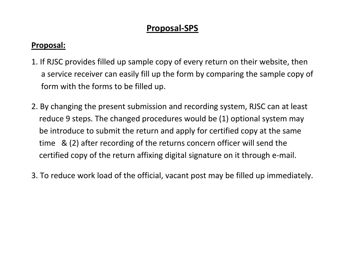## **Proposal-SPS**

#### **Proposal:**

- 1. If RJSC provides filled up sample copy of every return on their website, then a service receiver can easily fill up the form by comparing the sample copy of form with the forms to be filled up.
- 2. By changing the present submission and recording system, RJSC can at least reduce 9 steps. The changed procedures would be (1) optional system may be introduce to submit the return and apply for certified copy at the same time & (2) after recording of the returns concern officer will send the certified copy of the return affixing digital signature on it through e-mail.
- 3. To reduce work load of the official, vacant post may be filled up immediately.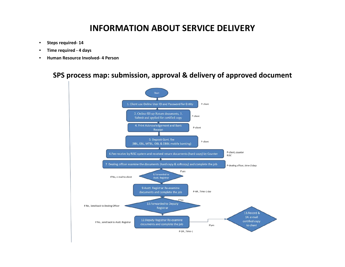### **INFORMATION ABOUT SERVICE DELIVERY**

- **Steps required- 14**
- **Time required - 4 days**
- **Human Resource Involved- 4 Person**

**SPS process map: submission, approval & delivery of approved document**

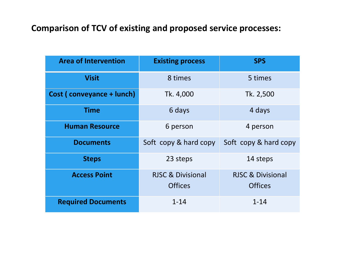# **Comparison of TCV of existing and proposed service processes:**

| <b>Area of Intervention</b> | <b>Existing process</b>      | <b>SPS</b>                   |  |
|-----------------------------|------------------------------|------------------------------|--|
| <b>Visit</b>                | 8 times                      | 5 times                      |  |
| Cost (conveyance + lunch)   | Tk. 4,000                    | Tk. 2,500                    |  |
| <b>Time</b>                 | 6 days                       | 4 days                       |  |
| <b>Human Resource</b>       | 6 person                     | 4 person                     |  |
| <b>Documents</b>            | Soft copy & hard copy        | Soft copy & hard copy        |  |
| <b>Steps</b>                | 23 steps                     | 14 steps                     |  |
| <b>Access Point</b>         | <b>RJSC &amp; Divisional</b> | <b>RJSC &amp; Divisional</b> |  |
|                             | <b>Offices</b>               | <b>Offices</b>               |  |
| <b>Required Documents</b>   | $1 - 14$                     | $1 - 14$                     |  |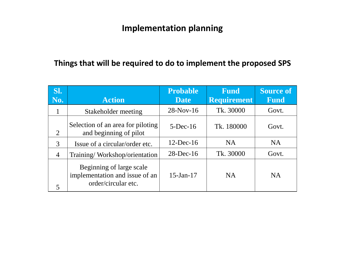### **Things that will be required to do to implement the proposed SPS**

| SI.<br>No.     | <b>Action</b>                                                                     | <b>Probable</b><br><b>Date</b> | <b>Fund</b><br><b>Requirement</b> | <b>Source of</b><br><b>Fund</b> |
|----------------|-----------------------------------------------------------------------------------|--------------------------------|-----------------------------------|---------------------------------|
|                | Stakeholder meeting                                                               | $28-Nov-16$                    | Tk. 30000                         | Govt.                           |
| 2              | Selection of an area for piloting<br>and beginning of pilot                       | $5$ -Dec-16                    | Tk. 180000                        | Govt.                           |
| 3              | Issue of a circular/order etc.                                                    | $12$ -Dec-16                   | <b>NA</b>                         | <b>NA</b>                       |
| $\overline{4}$ | Training/Workshop/orientation                                                     | $28$ -Dec-16                   | Tk. 30000                         | Govt.                           |
| 5              | Beginning of large scale<br>implementation and issue of an<br>order/circular etc. | $15 - Jan - 17$                | <b>NA</b>                         | <b>NA</b>                       |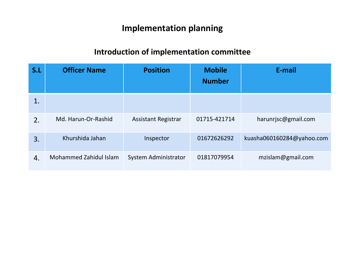## **Introduction of implementation committee**

| S.L | <b>Officer Name</b>           | <b>Position</b>             | <b>Mobile</b><br><b>Number</b> | E-mail                    |
|-----|-------------------------------|-----------------------------|--------------------------------|---------------------------|
| 1.  |                               |                             |                                |                           |
| 2.  | Md. Harun-Or-Rashid           | <b>Assistant Registrar</b>  | 01715-421714                   | harunrjsc@gmail.com       |
| 3.  | Khurshida Jahan               | Inspector                   | 01672626292                    | kuasha060160284@yahoo.com |
| 4.  | <b>Mohammed Zahidul Islam</b> | <b>System Administrator</b> | 01817079954                    | mzislam@gmail.com         |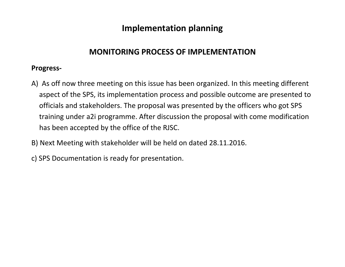#### **MONITORING PROCESS OF IMPLEMENTATION**

#### **Progress-**

- A) As off now three meeting on this issue has been organized. In this meeting different aspect of the SPS, its implementation process and possible outcome are presented to officials and stakeholders. The proposal was presented by the officers who got SPS training under a2i programme. After discussion the proposal with come modification has been accepted by the office of the RJSC.
- B) Next Meeting with stakeholder will be held on dated 28.11.2016.
- c) SPS Documentation is ready for presentation.